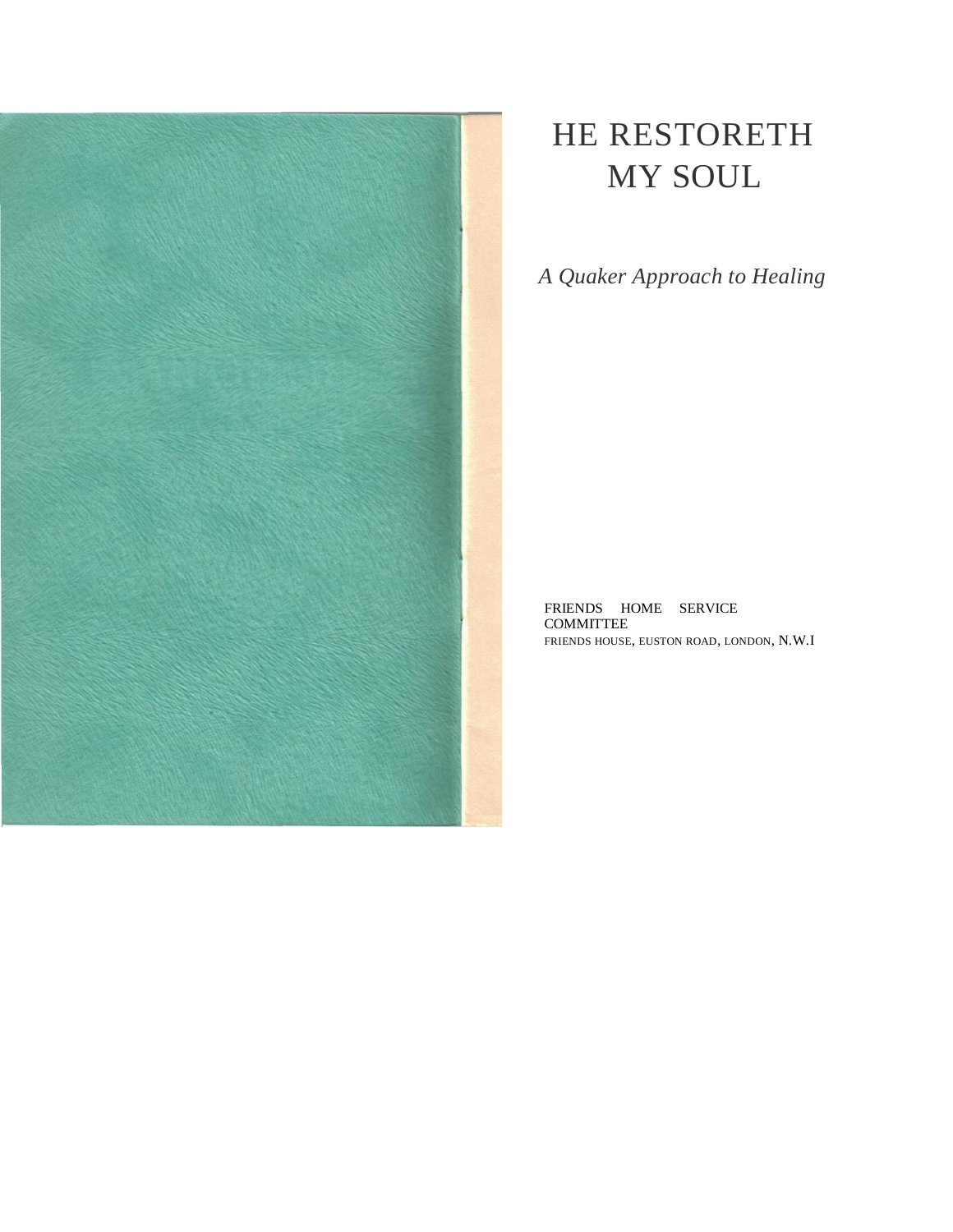

# HE RESTORETH MY SOUL

*A Quaker Approach to Healing*

FRIENDS HOME SERVICE COMMITTEE FRIENDS HOUSE, EUSTON ROAD, LONDON, N.W.I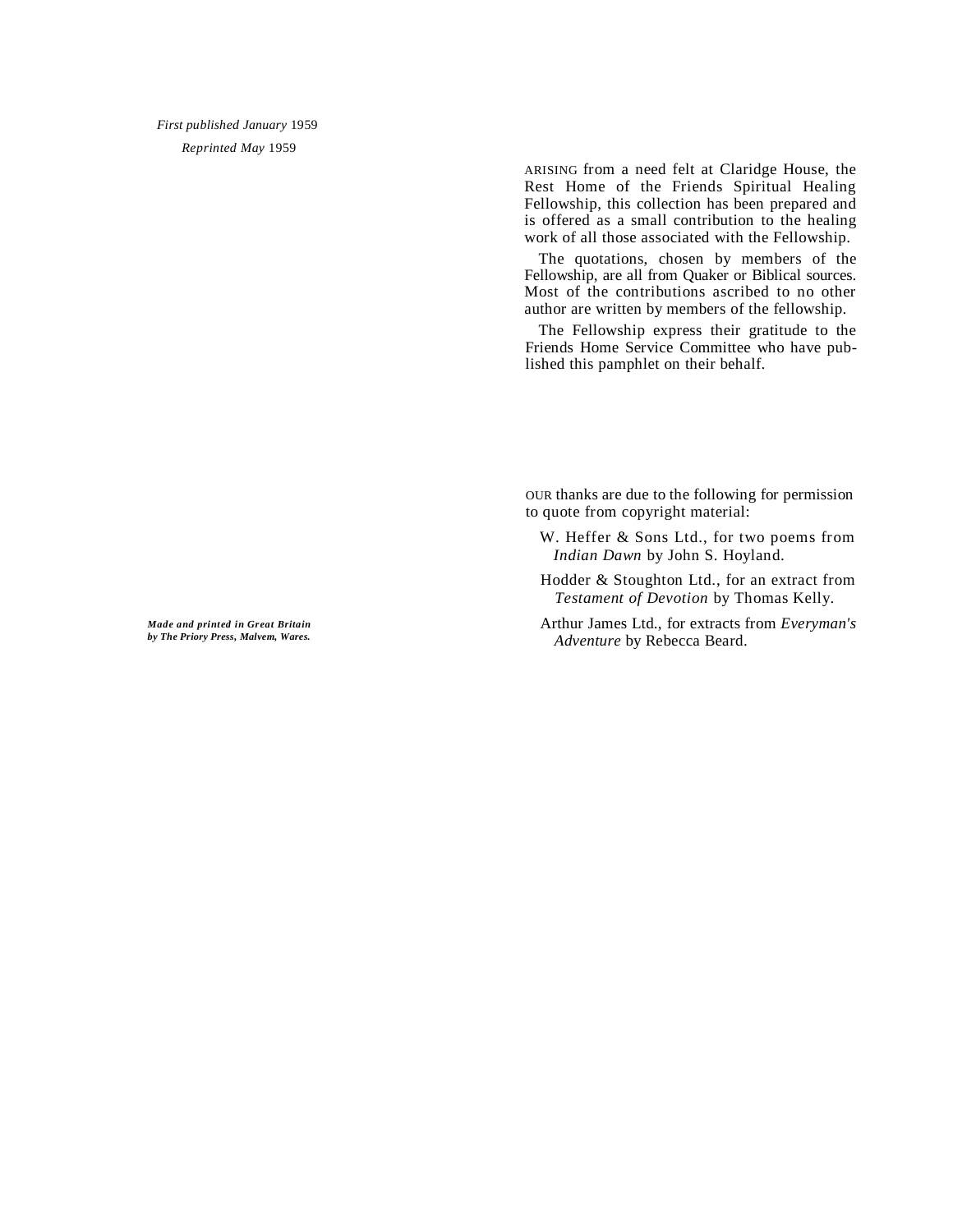*First published January* 1959 *Reprinted May* 1959

> ARISING from a need felt at Claridge House, the Rest Home of the Friends Spiritual Healing Fellowship, this collection has been prepared and is offered as a small contribution to the healing work of all those associated with the Fellowship.

> The quotations, chosen by members of the Fellowship, are all from Quaker or Biblical sources. Most of the contributions ascribed to no other author are written by members of the fellowship.

> The Fellowship express their gratitude to the Friends Home Service Committee who have published this pamphlet on their behalf.

OUR thanks are due to the following for permission to quote from copyright material:

- W. Heffer & Sons Ltd., for two poems from *Indian Dawn* by John S. Hoyland.
- Hodder & Stoughton Ltd., for an extract from *Testament of Devotion* by Thomas Kelly.
- Arthur James Ltd., for extracts from *Everyman's Adventure* by Rebecca Beard.

*Made and printed in Great Britain by The Priory Press, Malvem, Wares.*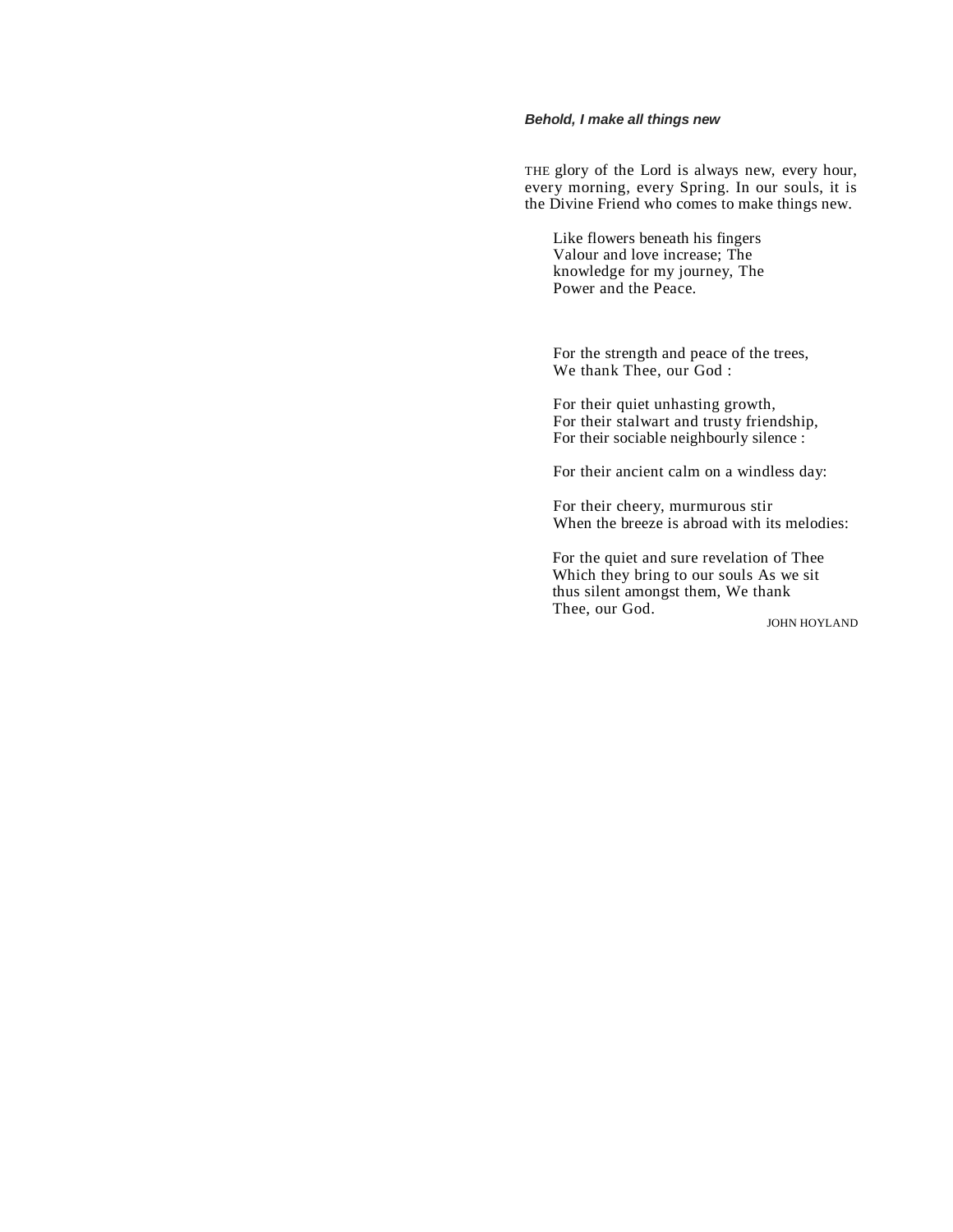# *Behold, I make all things new*

THE glory of the Lord is always new, every hour, every morning, every Spring. In our souls, it is the Divine Friend who comes to make things new.

Like flowers beneath his fingers Valour and love increase; The knowledge for my journey, The Power and the Peace.

For the strength and peace of the trees, We thank Thee, our God :

For their quiet unhasting growth, For their stalwart and trusty friendship, For their sociable neighbourly silence :

For their ancient calm on a windless day:

For their cheery, murmurous stir When the breeze is abroad with its melodies:

For the quiet and sure revelation of Thee Which they bring to our souls As we sit thus silent amongst them, We thank Thee, our God.

JOHN HOYLAND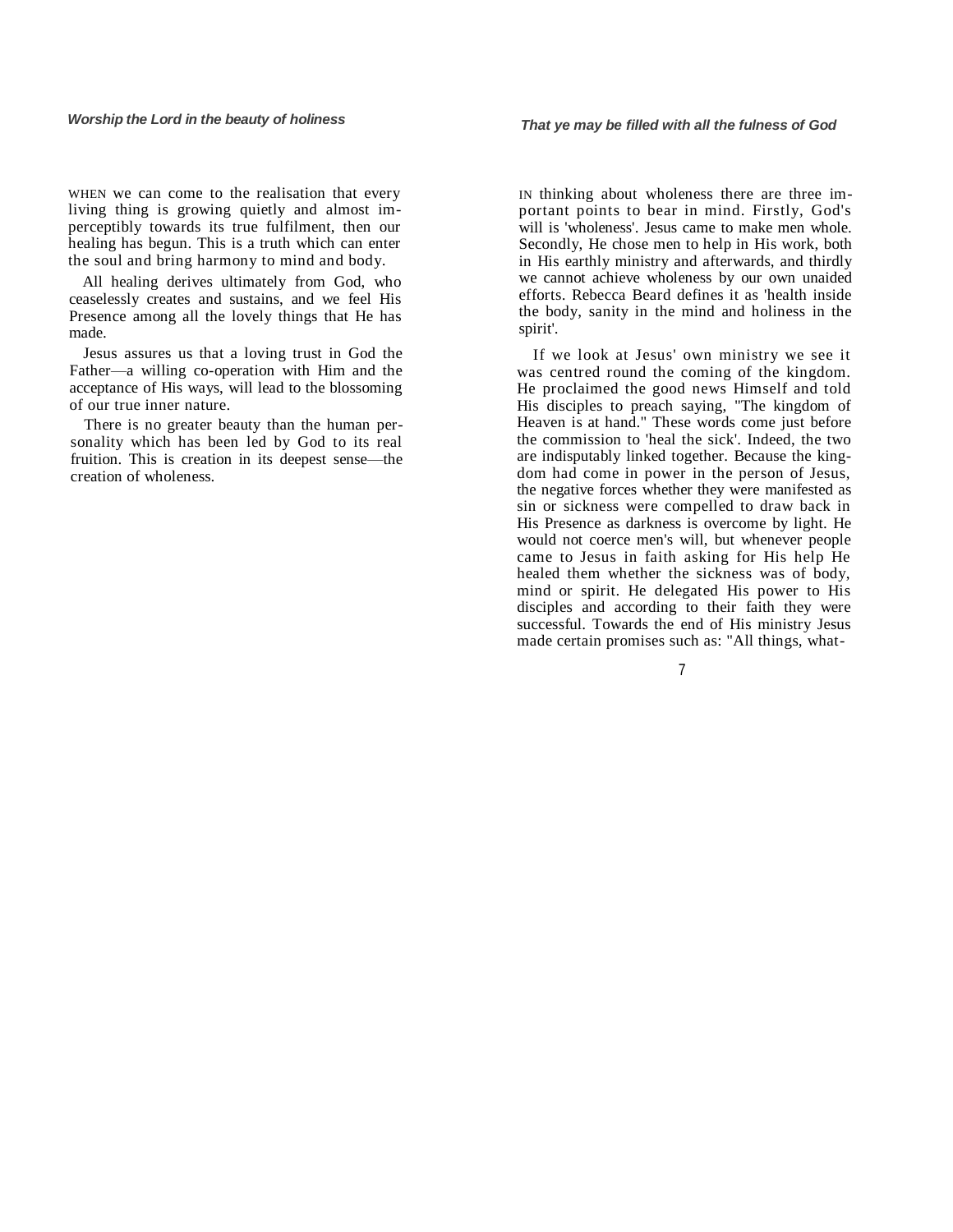WHEN we can come to the realisation that every living thing is growing quietly and almost imperceptibly towards its true fulfilment, then our healing has begun. This is a truth which can enter the soul and bring harmony to mind and body.

All healing derives ultimately from God, who ceaselessly creates and sustains, and we feel His Presence among all the lovely things that He has made.

Jesus assures us that a loving trust in God the Father—a willing co-operation with Him and the acceptance of His ways, will lead to the blossoming of our true inner nature.

There is no greater beauty than the human personality which has been led by God to its real fruition. This is creation in its deepest sense—the creation of wholeness.

IN thinking about wholeness there are three important points to bear in mind. Firstly, God's will is 'wholeness'. Jesus came to make men whole. Secondly, He chose men to help in His work, both in His earthly ministry and afterwards, and thirdly we cannot achieve wholeness by our own unaided efforts. Rebecca Beard defines it as 'health inside the body, sanity in the mind and holiness in the spirit'.

If we look at Jesus' own ministry we see it was centred round the coming of the kingdom. He proclaimed the good news Himself and told His disciples to preach saying, "The kingdom of Heaven is at hand." These words come just before the commission to 'heal the sick'. Indeed, the two are indisputably linked together. Because the kingdom had come in power in the person of Jesus, the negative forces whether they were manifested as sin or sickness were compelled to draw back in His Presence as darkness is overcome by light. He would not coerce men's will, but whenever people came to Jesus in faith asking for His help He healed them whether the sickness was of body, mind or spirit. He delegated His power to His disciples and according to their faith they were successful. Towards the end of His ministry Jesus made certain promises such as: "All things, what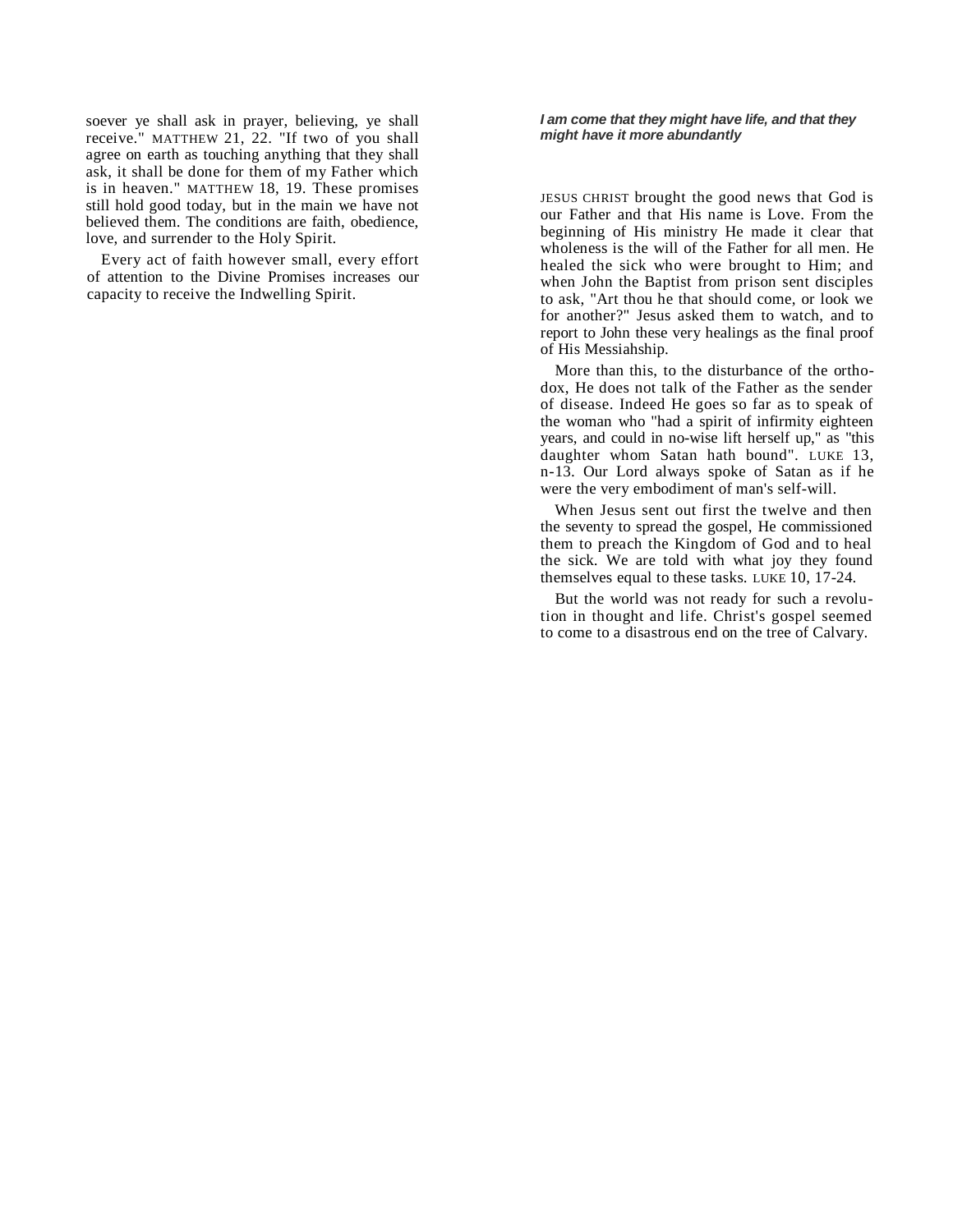soever ye shall ask in prayer, believing, ye shall receive." MATTHEW 21, 22. "If two of you shall agree on earth as touching anything that they shall ask, it shall be done for them of my Father which is in heaven." MATTHEW 18, 19. These promises still hold good today, but in the main we have not believed them. The conditions are faith, obedience, love, and surrender to the Holy Spirit.

Every act of faith however small, every effort of attention to the Divine Promises increases our capacity to receive the Indwelling Spirit.

#### *I am come that they might have life, and that they might have it more abundantly*

JESUS CHRIST brought the good news that God is our Father and that His name is Love. From the beginning of His ministry He made it clear that wholeness is the will of the Father for all men. He healed the sick who were brought to Him; and when John the Baptist from prison sent disciples to ask, "Art thou he that should come, or look we for another?" Jesus asked them to watch, and to report to John these very healings as the final proof of His Messiahship.

More than this, to the disturbance of the orthodox, He does not talk of the Father as the sender of disease. Indeed He goes so far as to speak of the woman who "had a spirit of infirmity eighteen years, and could in no-wise lift herself up," as "this daughter whom Satan hath bound". LUKE 13, n-13. Our Lord always spoke of Satan as if he were the very embodiment of man's self-will.

When Jesus sent out first the twelve and then the seventy to spread the gospel, He commissioned them to preach the Kingdom of God and to heal the sick. We are told with what joy they found themselves equal to these tasks. LUKE 10, 17-24.

But the world was not ready for such a revolution in thought and life. Christ's gospel seemed to come to a disastrous end on the tree of Calvary.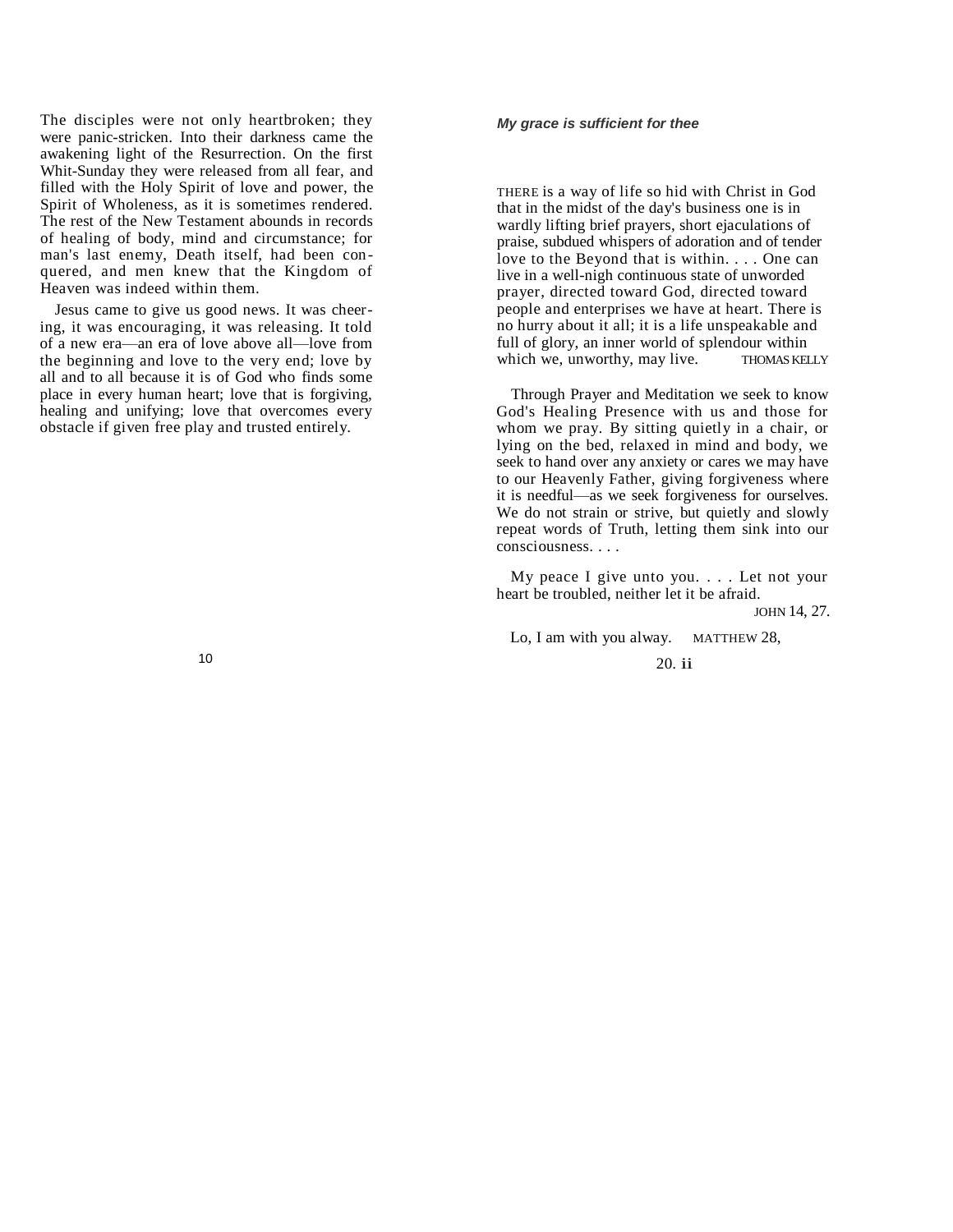The disciples were not only heartbroken; they were panic-stricken. Into their darkness came the awakening light of the Resurrection. On the first Whit-Sunday they were released from all fear, and filled with the Holy Spirit of love and power, the Spirit of Wholeness, as it is sometimes rendered. The rest of the New Testament abounds in records of healing of body, mind and circumstance; for man's last enemy, Death itself, had been conquered, and men knew that the Kingdom of Heaven was indeed within them.

Jesus came to give us good news. It was cheering, it was encouraging, it was releasing. It told of a new era—an era of love above all—love from the beginning and love to the very end; love by all and to all because it is of God who finds some place in every human heart; love that is forgiving, healing and unifying; love that overcomes every obstacle if given free play and trusted entirely.

#### *My grace is sufficient for thee*

THERE is a way of life so hid with Christ in God that in the midst of the day's business one is in wardly lifting brief prayers, short ejaculations of praise, subdued whispers of adoration and of tender love to the Beyond that is within. . . . One can live in a well-nigh continuous state of unworded prayer, directed toward God, directed toward people and enterprises we have at heart. There is no hurry about it all; it is a life unspeakable and full of glory, an inner world of splendour within<br>which we, unworthy, may live. THOMAS KELLY which we, unworthy, may live.

Through Prayer and Meditation we seek to know God's Healing Presence with us and those for whom we pray. By sitting quietly in a chair, or lying on the bed, relaxed in mind and body, we seek to hand over any anxiety or cares we may have to our Heavenly Father, giving forgiveness where it is needful—as we seek forgiveness for ourselves. We do not strain or strive, but quietly and slowly repeat words of Truth, letting them sink into our consciousness. . . .

My peace I give unto you. . . . Let not your heart be troubled, neither let it be afraid.

JOHN 14, 27.

Lo, I am with you alway. MATTHEW 28,

20. ii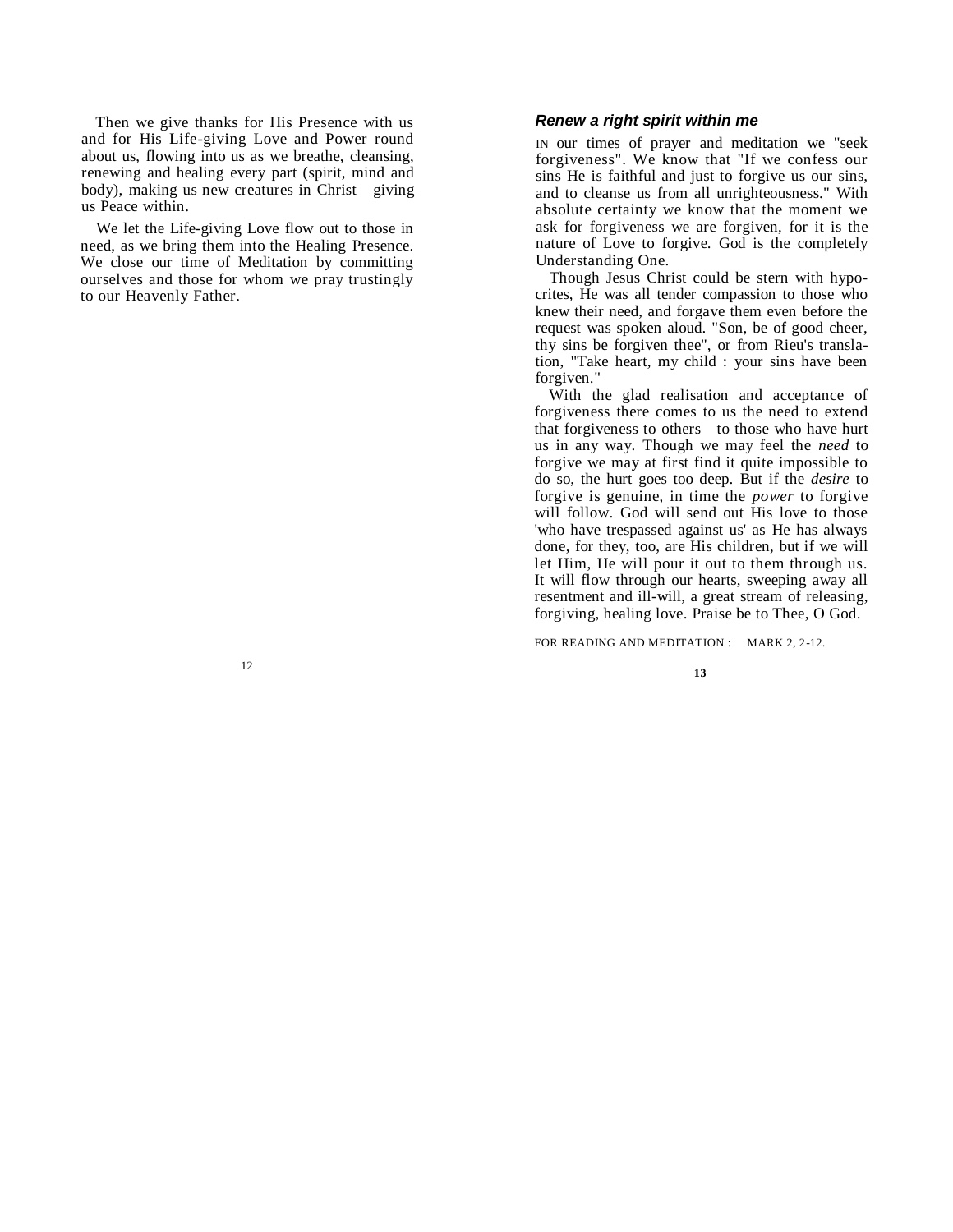Then we give thanks for His Presence with us and for His Life-giving Love and Power round about us, flowing into us as we breathe, cleansing, renewing and healing every part (spirit, mind and body), making us new creatures in Christ—giving us Peace within.

We let the Life-giving Love flow out to those in need, as we bring them into the Healing Presence. We close our time of Meditation by committing ourselves and those for whom we pray trustingly to our Heavenly Father.

12

# *Renew a right spirit within me*

IN our times of prayer and meditation we "seek forgiveness". We know that "If we confess our sins He is faithful and just to forgive us our sins, and to cleanse us from all unrighteousness." With absolute certainty we know that the moment we ask for forgiveness we are forgiven, for it is the nature of Love to forgive. God is the completely Understanding One.

Though Jesus Christ could be stern with hypocrites, He was all tender compassion to those who knew their need, and forgave them even before the request was spoken aloud. "Son, be of good cheer, thy sins be forgiven thee", or from Rieu's translation, "Take heart, my child : your sins have been forgiven."

With the glad realisation and acceptance of forgiveness there comes to us the need to extend that forgiveness to others—to those who have hurt us in any way. Though we may feel the *need* to forgive we may at first find it quite impossible to do so, the hurt goes too deep. But if the *desire* to forgive is genuine, in time the *power* to forgive will follow. God will send out His love to those 'who have trespassed against us' as He has always done, for they, too, are His children, but if we will let Him, He will pour it out to them through us. It will flow through our hearts, sweeping away all resentment and ill-will, a great stream of releasing, forgiving, healing love. Praise be to Thee, O God.

FOR READING AND MEDITATION : MARK 2, 2-12.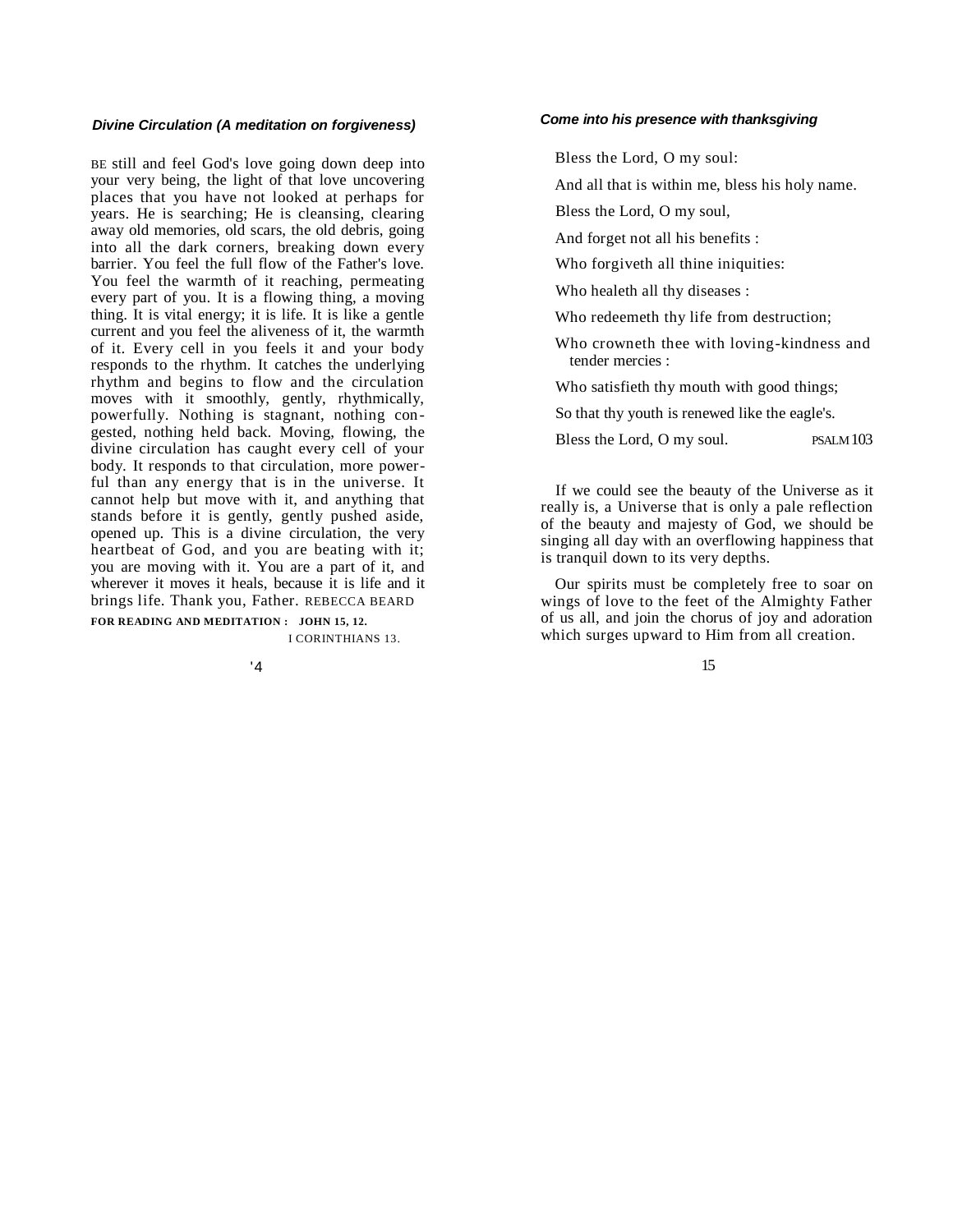#### *Divine Circulation (A meditation on forgiveness)*

BE still and feel God's love going down deep into your very being, the light of that love uncovering places that you have not looked at perhaps for years. He is searching; He is cleansing, clearing away old memories, old scars, the old debris, going into all the dark corners, breaking down every barrier. You feel the full flow of the Father's love. You feel the warmth of it reaching, permeating every part of you. It is a flowing thing, a moving thing. It is vital energy; it is life. It is like a gentle current and you feel the aliveness of it, the warmth of it. Every cell in you feels it and your body responds to the rhythm. It catches the underlying rhythm and begins to flow and the circulation moves with it smoothly, gently, rhythmically, powerfully. Nothing is stagnant, nothing congested, nothing held back. Moving, flowing, the divine circulation has caught every cell of your body. It responds to that circulation, more powerful than any energy that is in the universe. It cannot help but move with it, and anything that stands before it is gently, gently pushed aside, opened up. This is a divine circulation, the very heartbeat of God, and you are beating with it; you are moving with it. You are a part of it, and wherever it moves it heals, because it is life and it brings life. Thank you, Father. REBECCA BEARD

**FOR READING AND MEDITATION : JOHN 15, 12.**

I CORINTHIANS 13.

'4

#### *Come into his presence with thanksgiving*

Bless the Lord, O my soul:

And all that is within me, bless his holy name.

Bless the Lord, O my soul,

And forget not all his benefits :

Who forgiveth all thine iniquities:

Who healeth all thy diseases :

Who redeemeth thy life from destruction;

Who crowneth thee with loving-kindness and tender mercies :

Who satisfieth thy mouth with good things;

So that thy youth is renewed like the eagle's.

Bless the Lord, O my soul. PSALM 103

If we could see the beauty of the Universe as it really is, a Universe that is only a pale reflection of the beauty and majesty of God, we should be singing all day with an overflowing happiness that is tranquil down to its very depths.

Our spirits must be completely free to soar on wings of love to the feet of the Almighty Father of us all, and join the chorus of joy and adoration which surges upward to Him from all creation.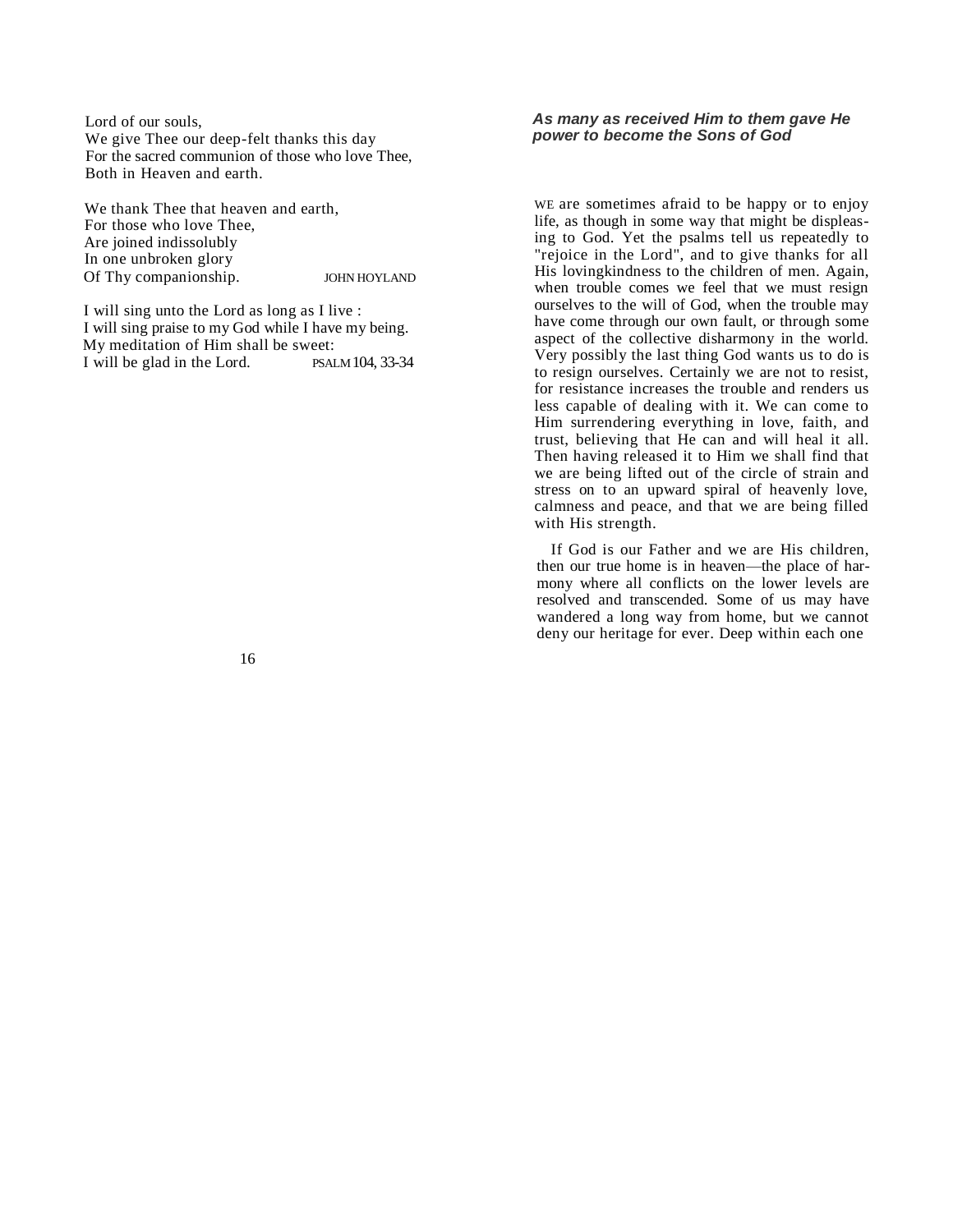Lord of our souls, We give Thee our deep-felt thanks this day For the sacred communion of those who love Thee, Both in Heaven and earth.

We thank Thee that heaven and earth. For those who love Thee, Are joined indissolubly In one unbroken glory Of Thy companionship. JOHN HOYLAND

I will sing unto the Lord as long as I live : I will sing praise to my God while I have my being. My meditation of Him shall be sweet: I will be glad in the Lord. PSALM 104, 33-34 *As many as received Him to them gave He power to become the Sons of God*

WE are sometimes afraid to be happy or to enjoy life, as though in some way that might be displeasing to God. Yet the psalms tell us repeatedly to "rejoice in the Lord", and to give thanks for all His lovingkindness to the children of men. Again, when trouble comes we feel that we must resign ourselves to the will of God, when the trouble may have come through our own fault, or through some aspect of the collective disharmony in the world. Very possibly the last thing God wants us to do is to resign ourselves. Certainly we are not to resist, for resistance increases the trouble and renders us less capable of dealing with it. We can come to Him surrendering everything in love, faith, and trust, believing that He can and will heal it all. Then having released it to Him we shall find that we are being lifted out of the circle of strain and stress on to an upward spiral of heavenly love, calmness and peace, and that we are being filled with His strength.

If God is our Father and we are His children, then our true home is in heaven—the place of harmony where all conflicts on the lower levels are resolved and transcended. Some of us may have wandered a long way from home, but we cannot deny our heritage for ever. Deep within each one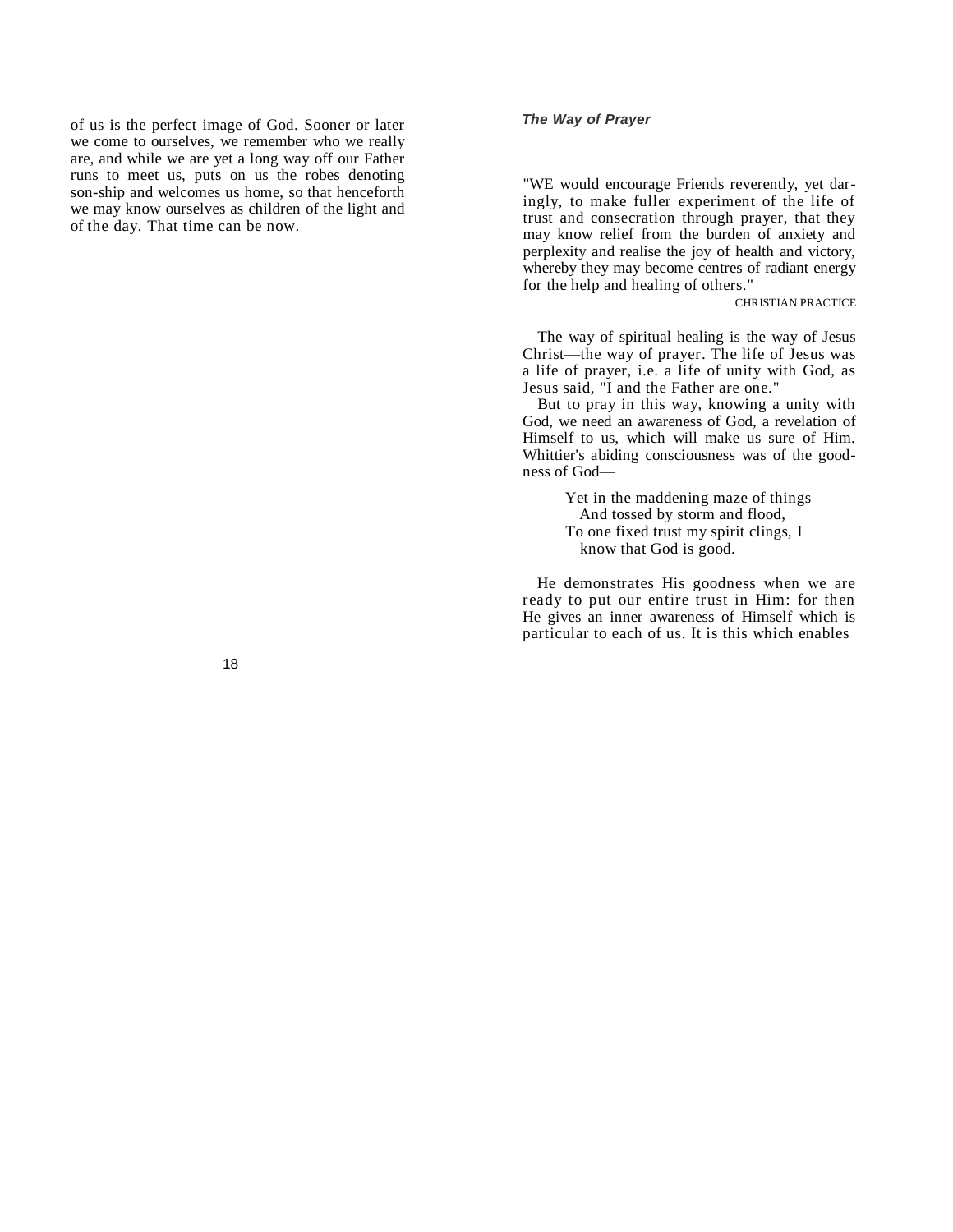of us is the perfect image of God. Sooner or later we come to ourselves, we remember who we really are, and while we are yet a long way off our Father runs to meet us, puts on us the robes denoting son-ship and welcomes us home, so that henceforth we may know ourselves as children of the light and of the day. That time can be now.

## *The Way of Prayer*

"WE would encourage Friends reverently, yet daringly, to make fuller experiment of the life of trust and consecration through prayer, that they may know relief from the burden of anxiety and perplexity and realise the joy of health and victory, whereby they may become centres of radiant energy for the help and healing of others."

CHRISTIAN PRACTICE

The way of spiritual healing is the way of Jesus Christ—the way of prayer. The life of Jesus was a life of prayer, i.e. a life of unity with God, as Jesus said, "I and the Father are one."

But to pray in this way, knowing a unity with God, we need an awareness of God, a revelation of Himself to us, which will make us sure of Him. Whittier's abiding consciousness was of the goodness of God—

> Yet in the maddening maze of things And tossed by storm and flood, To one fixed trust my spirit clings, I know that God is good.

He demonstrates His goodness when we are ready to put our entire trust in Him: for then He gives an inner awareness of Himself which is particular to each of us. It is this which enables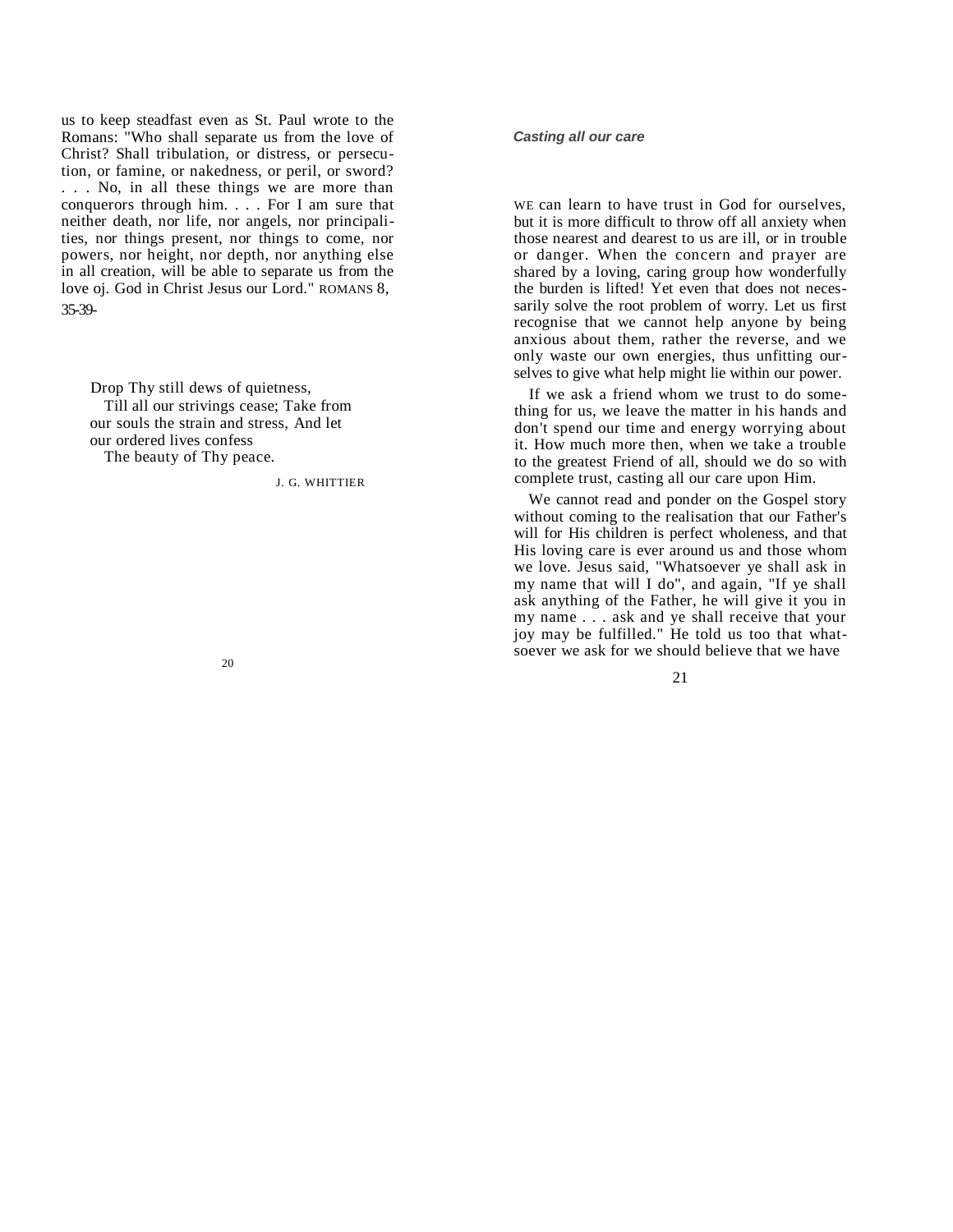us to keep steadfast even as St. Paul wrote to the Romans: "Who shall separate us from the love of Christ? Shall tribulation, or distress, or persecution, or famine, or nakedness, or peril, or sword? . . . No, in all these things we are more than conquerors through him. . . . For I am sure that neither death, nor life, nor angels, nor principalities, nor things present, nor things to come, nor powers, nor height, nor depth, nor anything else in all creation, will be able to separate us from the love oj. God in Christ Jesus our Lord." ROMANS 8, 35-39-

Drop Thy still dews of quietness, Till all our strivings cease; Take from our souls the strain and stress, And let our ordered lives confess The beauty of Thy peace.

J. G. WHITTIER

#### *Casting all our care*

WE can learn to have trust in God for ourselves, but it is more difficult to throw off all anxiety when those nearest and dearest to us are ill, or in trouble or danger. When the concern and prayer are shared by a loving, caring group how wonderfully the burden is lifted! Yet even that does not necessarily solve the root problem of worry. Let us first recognise that we cannot help anyone by being anxious about them, rather the reverse, and we only waste our own energies, thus unfitting ourselves to give what help might lie within our power.

If we ask a friend whom we trust to do something for us, we leave the matter in his hands and don't spend our time and energy worrying about it. How much more then, when we take a trouble to the greatest Friend of all, should we do so with complete trust, casting all our care upon Him.

We cannot read and ponder on the Gospel story without coming to the realisation that our Father's will for His children is perfect wholeness, and that His loving care is ever around us and those whom we love. Jesus said, "Whatsoever ye shall ask in my name that will I do", and again, "If ye shall ask anything of the Father, he will give it you in my name . . . ask and ye shall receive that your joy may be fulfilled." He told us too that whatsoever we ask for we should believe that we have

21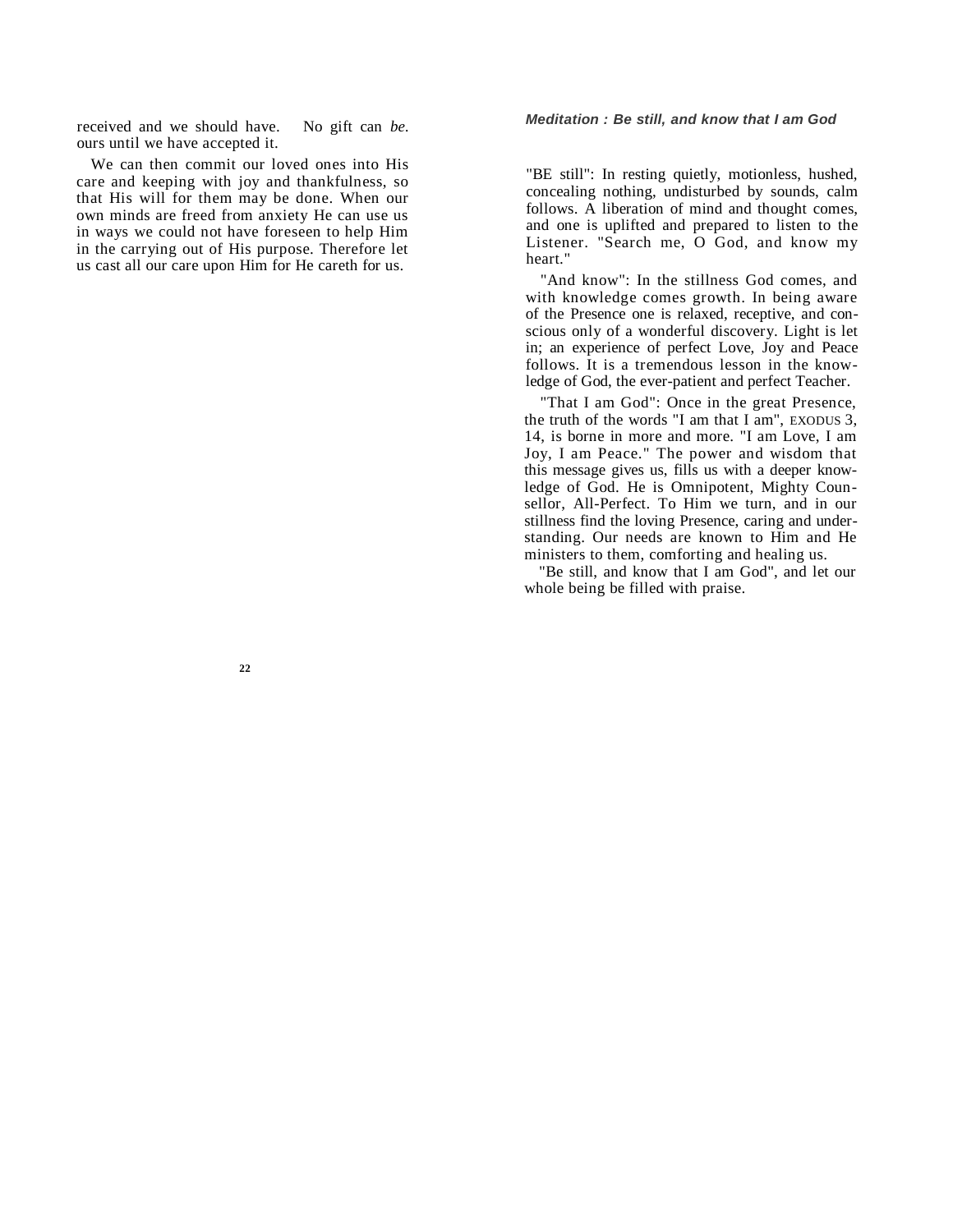## *Meditation : Be still, and know that I am God*

received and we should have. No gift can *be.*  ours until we have accepted it.

We can then commit our loved ones into His care and keeping with joy and thankfulness, so that His will for them may be done. When our own minds are freed from anxiety He can use us in ways we could not have foreseen to help Him in the carrying out of His purpose. Therefore let us cast all our care upon Him for He careth for us.

"BE still": In resting quietly, motionless, hushed, concealing nothing, undisturbed by sounds, calm follows. A liberation of mind and thought comes, and one is uplifted and prepared to listen to the Listener. "Search me, O God, and know my heart."

"And know": In the stillness God comes, and with knowledge comes growth. In being aware of the Presence one is relaxed, receptive, and conscious only of a wonderful discovery. Light is let in; an experience of perfect Love, Joy and Peace follows. It is a tremendous lesson in the knowledge of God, the ever-patient and perfect Teacher.

"That I am God": Once in the great Presence, the truth of the words "I am that I am", EXODUS 3, 14, is borne in more and more. "I am Love, I am Joy, I am Peace." The power and wisdom that this message gives us, fills us with a deeper knowledge of God. He is Omnipotent, Mighty Counsellor, All-Perfect. To Him we turn, and in our stillness find the loving Presence, caring and understanding. Our needs are known to Him and He ministers to them, comforting and healing us.

"Be still, and know that I am God", and let our whole being be filled with praise.